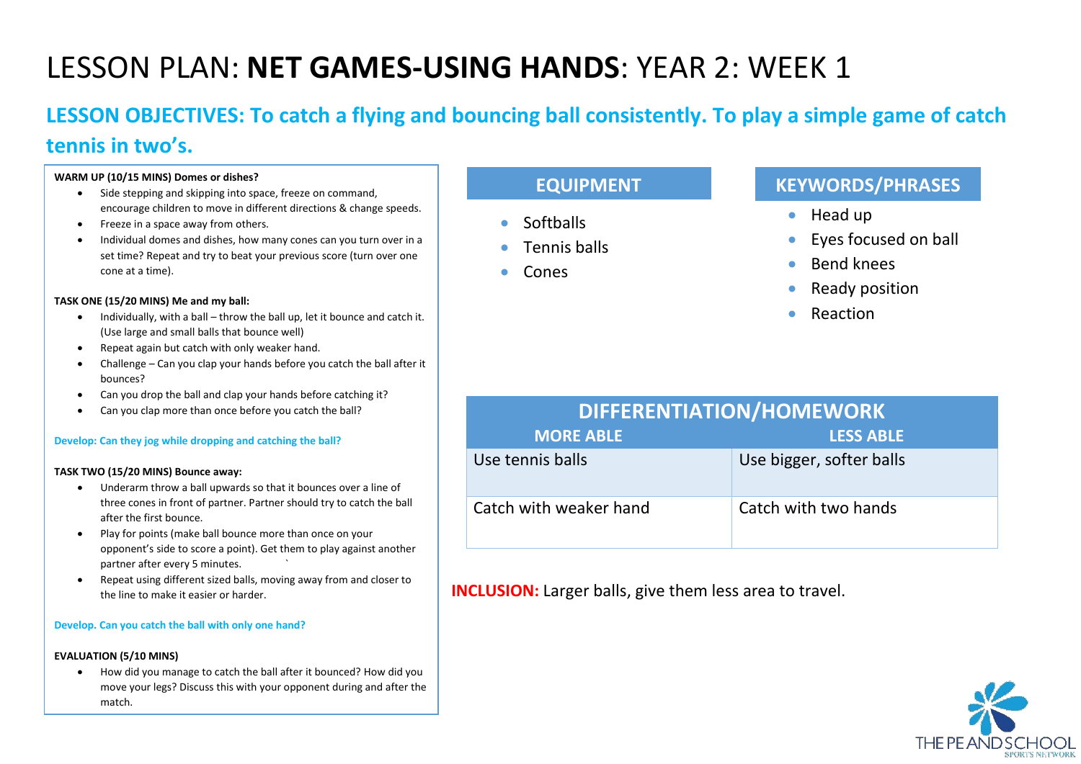# LESSON PLAN: **NET GAMES-USING HANDS**: YEAR 2: WEEK 1

# **LESSON OBJECTIVES: To catch a flying and bouncing ball consistently. To play a simple game of catch tennis in two's.**

#### **WARM UP (10/15 MINS) Domes or dishes?**

- Side stepping and skipping into space, freeze on command, encourage children to move in different directions & change speeds.
- Freeze in a space away from others.
- Individual domes and dishes, how many cones can you turn over in a set time? Repeat and try to beat your previous score (turn over one cone at a time).

#### **TASK ONE (15/20 MINS) Me and my ball:**

- Individually, with a ball throw the ball up, let it bounce and catch it. (Use large and small balls that bounce well)
- Repeat again but catch with only weaker hand.
- Challenge Can you clap your hands before you catch the ball after it bounces?
- Can you drop the ball and clap your hands before catching it?
- Can you clap more than once before you catch the ball?

#### **Develop: Can they jog while dropping and catching the ball?**

#### **TASK TWO (15/20 MINS) Bounce away:**

- Underarm throw a ball upwards so that it bounces over a line of three cones in front of partner. Partner should try to catch the ball after the first bounce.
- Play for points (make ball bounce more than once on your opponent's side to score a point). Get them to play against another partner after every 5 minutes. `
- Repeat using different sized balls, moving away from and closer to the line to make it easier or harder.

#### **Develop. Can you catch the ball with only one hand?**

#### **EVALUATION (5/10 MINS)**

• How did you manage to catch the ball after it bounced? How did you move your legs? Discuss this with your opponent during and after the match.

## **EQUIPMENT**

- Softballs
- Tennis balls
- Cones

### **KEYWORDS/PHRASES**

- Head up
- Eyes focused on ball
- Bend knees
- Ready position
- **Reaction**

| <b>DIFFERENTIATION/HOMEWORK</b> |                          |  |
|---------------------------------|--------------------------|--|
| <b>MORE ABLE</b>                | <b>LESS ABLE</b>         |  |
| Use tennis balls                | Use bigger, softer balls |  |
| Catch with weaker hand          | Catch with two hands     |  |

**INCLUSION:** Larger balls, give them less area to travel.

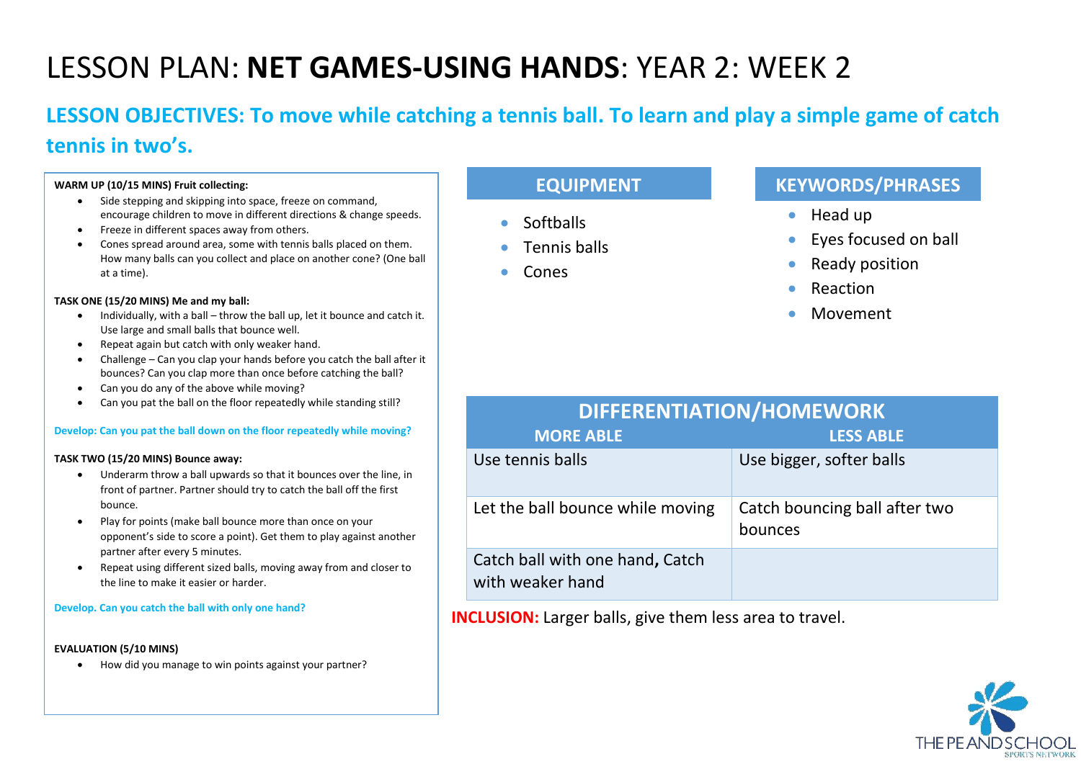# LESSON PLAN: **NET GAMES-USING HANDS**: YEAR 2: WEEK 2

# **LESSON OBJECTIVES: To move while catching a tennis ball. To learn and play a simple game of catch tennis in two's.**

#### **WARM UP (10/15 MINS) Fruit collecting:**

- Side stepping and skipping into space, freeze on command, encourage children to move in different directions & change speeds.
- Freeze in different spaces away from others.
- Cones spread around area, some with tennis balls placed on them. How many balls can you collect and place on another cone? (One ball at a time).

#### **TASK ONE (15/20 MINS) Me and my ball:**

- Individually, with a ball throw the ball up, let it bounce and catch it. Use large and small balls that bounce well.
- Repeat again but catch with only weaker hand.
- Challenge Can you clap your hands before you catch the ball after it bounces? Can you clap more than once before catching the ball?
- Can you do any of the above while moving?
- Can you pat the ball on the floor repeatedly while standing still?

#### **Develop: Can you pat the ball down on the floor repeatedly while moving?**

#### **TASK TWO (15/20 MINS) Bounce away:**

- Underarm throw a ball upwards so that it bounces over the line, in front of partner. Partner should try to catch the ball off the first bounce.
- Play for points (make ball bounce more than once on your opponent's side to score a point). Get them to play against another partner after every 5 minutes.
- Repeat using different sized balls, moving away from and closer to the line to make it easier or harder.

#### **Develop. Can you catch the ball with only one hand?**

#### **EVALUATION (5/10 MINS)**

• How did you manage to win points against your partner?

## **EQUIPMENT**

- Softballs
- Tennis balls
- Cones

with weaker hand

### **KEYWORDS/PHRASES**

- Head up
- Eyes focused on ball
- Ready position
- **Reaction**
- Movement

| DIFFERENTIATION/HOMEWORK         |                                          |  |
|----------------------------------|------------------------------------------|--|
| <b>MORE ABLE</b>                 | <b>LESS ABLE</b>                         |  |
| Use tennis balls                 | Use bigger, softer balls                 |  |
| Let the ball bounce while moving | Catch bouncing ball after two<br>bounces |  |
| Catch ball with one hand, Catch  |                                          |  |

**INCLUSION:** Larger balls, give them less area to travel.

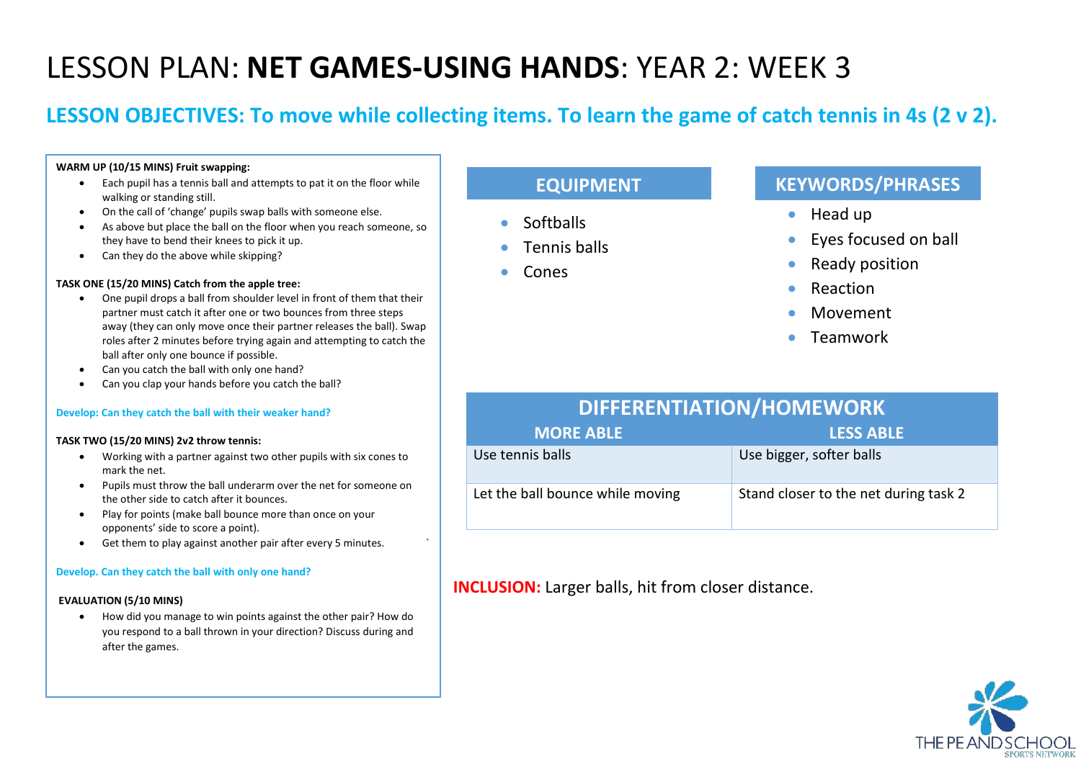# LESSON PLAN: **NET GAMES-USING HANDS**: YEAR 2: WEEK 3

# **LESSON OBJECTIVES: To move while collecting items. To learn the game of catch tennis in 4s (2 v 2).**

#### **WARM UP (10/15 MINS) Fruit swapping:**

- Each pupil has a tennis ball and attempts to pat it on the floor while walking or standing still.
- On the call of 'change' pupils swap balls with someone else.
- As above but place the ball on the floor when you reach someone, so they have to bend their knees to pick it up.
- Can they do the above while skipping?

#### **TASK ONE (15/20 MINS) Catch from the apple tree:**

- One pupil drops a ball from shoulder level in front of them that their partner must catch it after one or two bounces from three steps away (they can only move once their partner releases the ball). Swap roles after 2 minutes before trying again and attempting to catch the ball after only one bounce if possible.
- Can you catch the ball with only one hand?
- Can you clap your hands before you catch the ball?

#### **Develop: Can they catch the ball with their weaker hand?**

#### **TASK TWO (15/20 MINS) 2v2 throw tennis:**

- Working with a partner against two other pupils with six cones to mark the net.
- Pupils must throw the ball underarm over the net for someone on the other side to catch after it bounces.
- Play for points (make ball bounce more than once on your opponents' side to score a point).
- Get them to play against another pair after every 5 minutes. `

#### **Develop. Can they catch the ball with only one hand?**

#### **EVALUATION (5/10 MINS)**

• How did you manage to win points against the other pair? How do you respond to a ball thrown in your direction? Discuss during and after the games.

## **EQUIPMENT**

- **Softballs**
- Tennis balls
- Cones

### **KEYWORDS/PHRASES**

- Head up
- Eyes focused on ball
- Ready position
- **Reaction**
- Movement
- Teamwork

# **DIFFERENTIATION/HOMEWORK**

| <b>MORE ABLE</b>                 | <b>LESS ABLE</b>                      |
|----------------------------------|---------------------------------------|
| Use tennis balls                 | Use bigger, softer balls              |
| Let the ball bounce while moving | Stand closer to the net during task 2 |

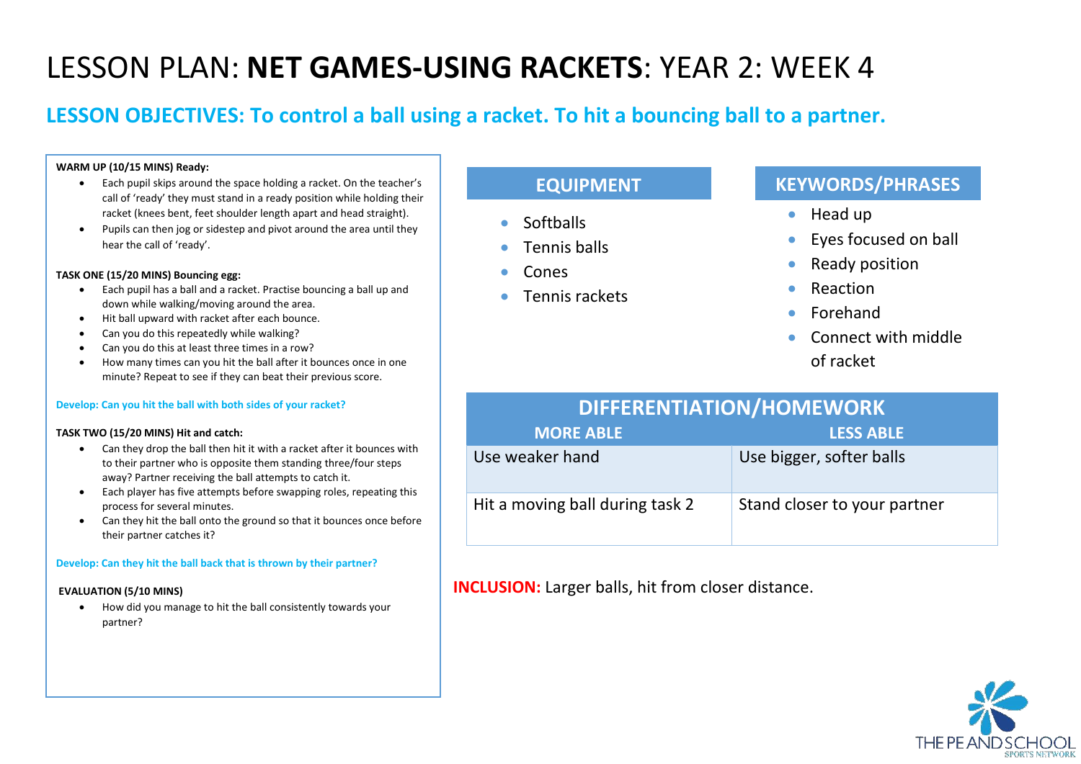# LESSON PLAN: **NET GAMES-USING RACKETS**: YEAR 2: WEEK 4

# **LESSON OBJECTIVES: To control a ball using a racket. To hit a bouncing ball to a partner.**

#### **WARM UP (10/15 MINS) Ready:**

- Each pupil skips around the space holding a racket. On the teacher's call of 'ready' they must stand in a ready position while holding their racket (knees bent, feet shoulder length apart and head straight).
- Pupils can then jog or sidestep and pivot around the area until they hear the call of 'ready'.

#### **TASK ONE (15/20 MINS) Bouncing egg:**

- Each pupil has a ball and a racket. Practise bouncing a ball up and down while walking/moving around the area.
- Hit ball upward with racket after each bounce.
- Can you do this repeatedly while walking?
- Can you do this at least three times in a row?
- How many times can you hit the ball after it bounces once in one minute? Repeat to see if they can beat their previous score.

#### **Develop: Can you hit the ball with both sides of your racket?**

#### **TASK TWO (15/20 MINS) Hit and catch:**

- Can they drop the ball then hit it with a racket after it bounces with to their partner who is opposite them standing three/four steps away? Partner receiving the ball attempts to catch it.
- Each player has five attempts before swapping roles, repeating this process for several minutes.
- Can they hit the ball onto the ground so that it bounces once before their partner catches it?

#### **Develop: Can they hit the ball back that is thrown by their partner?**

#### **EVALUATION (5/10 MINS)**

• How did you manage to hit the ball consistently towards your partner?

## **EQUIPMENT**

- Softballs
- Tennis balls
- Cones
- Tennis rackets

## **KEYWORDS/PHRASES**

- Head up
- Eyes focused on ball
- Ready position
- **Reaction**
- Forehand
- Connect with middle of racket

| <b>DIFFERENTIATION/HOMEWORK</b> |                              |  |
|---------------------------------|------------------------------|--|
| <b>MORE ABLE</b>                | <b>LESS ABLE</b>             |  |
| Use weaker hand                 | Use bigger, softer balls     |  |
| Hit a moving ball during task 2 | Stand closer to your partner |  |

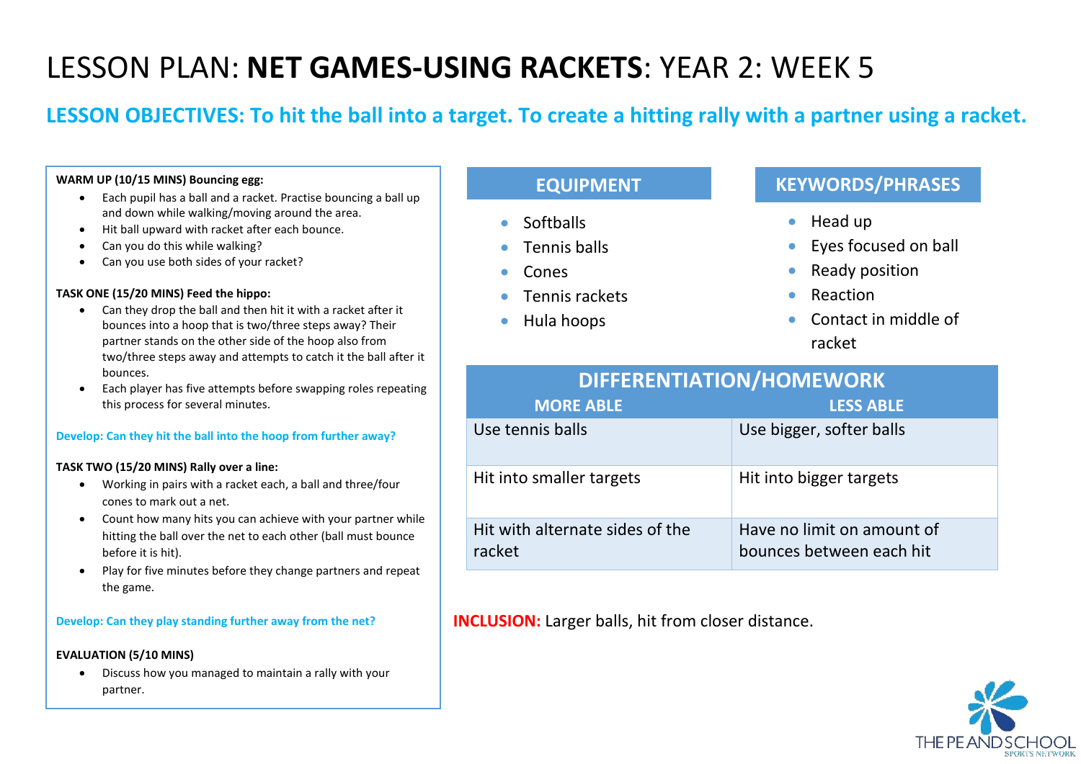# LESSON PLAN: **NET GAMES-USING RACKETS**: YEAR 2: WEEK 5

# **LESSON OBJECTIVES: To hit the ball into a target. To create a hitting rally with a partner using a racket.**

#### **WARM UP (10/15 MINS) Bouncing egg:**

- Each pupil has a ball and a racket. Practise bouncing a ball up and down while walking/moving around the area.
- Hit ball upward with racket after each bounce.
- Can you do this while walking?
- Can you use both sides of your racket?

#### **TASK ONE (15/20 MINS) Feed the hippo:**

- Can they drop the ball and then hit it with a racket after it bounces into a hoop that is two/three steps away? Their partner stands on the other side of the hoop also from two/three steps away and attempts to catch it the ball after it bounces.
- Each player has five attempts before swapping roles repeating this process for several minutes.

#### **Develop: Can they hit the ball into the hoop from further away?**

#### **TASK TWO (15/20 MINS) Rally over a line:**

- Working in pairs with a racket each, a ball and three/four cones to mark out a net.
- Count how many hits you can achieve with your partner while hitting the ball over the net to each other (ball must bounce before it is hit).
- Play for five minutes before they change partners and repeat the game.

#### **Develop: Can they play standing further away from the net?**

#### **EVALUATION (5/10 MINS)**

• Discuss how you managed to maintain a rally with your partner.

## **EQUIPMENT**

- Softballs
- Tennis balls
- Cones
- Tennis rackets
- Hula hoops

### **KEYWORDS/PHRASES**

- Head up
- Eyes focused on ball
- Ready position
- **Reaction**
- Contact in middle of racket

| DIFFERENTIATION/HOMEWORK                  |                                                        |  |
|-------------------------------------------|--------------------------------------------------------|--|
| <b>MORE ABLE</b>                          | <b>LESS ABLE</b>                                       |  |
| Use tennis balls                          | Use bigger, softer balls                               |  |
| Hit into smaller targets                  | Hit into bigger targets                                |  |
| Hit with alternate sides of the<br>racket | Have no limit on amount of<br>bounces between each hit |  |

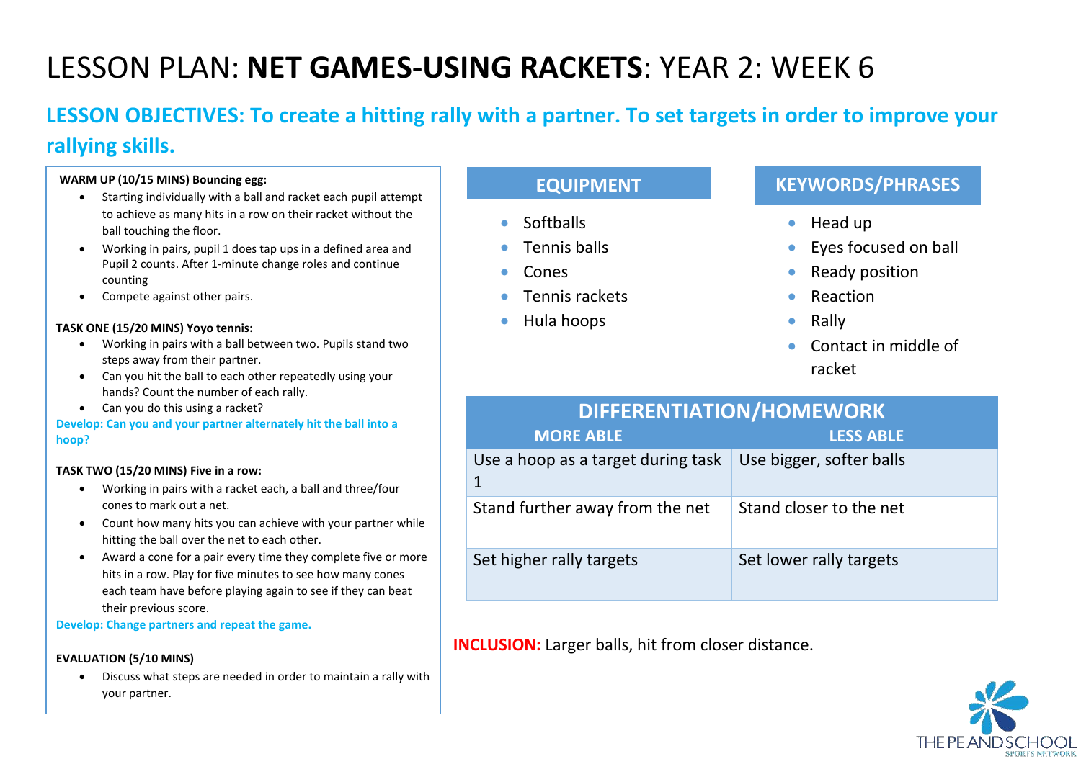# LESSON PLAN: **NET GAMES-USING RACKETS**: YEAR 2: WEEK 6

# **LESSON OBJECTIVES: To create a hitting rally with a partner. To set targets in order to improve your rallying skills.**

#### **WARM UP (10/15 MINS) Bouncing egg:**

- Starting individually with a ball and racket each pupil attempt to achieve as many hits in a row on their racket without the ball touching the floor.
- Working in pairs, pupil 1 does tap ups in a defined area and Pupil 2 counts. After 1-minute change roles and continue counting
- Compete against other pairs.

#### **TASK ONE (15/20 MINS) Yoyo tennis:**

- Working in pairs with a ball between two. Pupils stand two steps away from their partner.
- Can you hit the ball to each other repeatedly using your hands? Count the number of each rally.
- Can you do this using a racket?

#### **Develop: Can you and your partner alternately hit the ball into a hoop?**

#### **TASK TWO (15/20 MINS) Five in a row:**

- Working in pairs with a racket each, a ball and three/four cones to mark out a net.
- Count how many hits you can achieve with your partner while hitting the ball over the net to each other.
- Award a cone for a pair every time they complete five or more hits in a row. Play for five minutes to see how many cones each team have before playing again to see if they can beat their previous score.

**Develop: Change partners and repeat the game.**

#### **EVALUATION (5/10 MINS)**

• Discuss what steps are needed in order to maintain a rally with your partner.

## **EQUIPMENT**

- Softballs
- Tennis balls
- Cones
- Tennis rackets
- Hula hoops

## **KEYWORDS/PHRASES**

- Head up
- Eyes focused on ball
- Ready position
- **Reaction**
- Rally
- Contact in middle of racket

# **DIFFERENTIATION/HOMEWORK**

| <b>MORE ABLE</b>                   | <b>LESS ABLE</b>         |
|------------------------------------|--------------------------|
| Use a hoop as a target during task | Use bigger, softer balls |
| Stand further away from the net    | Stand closer to the net  |
| Set higher rally targets           | Set lower rally targets  |